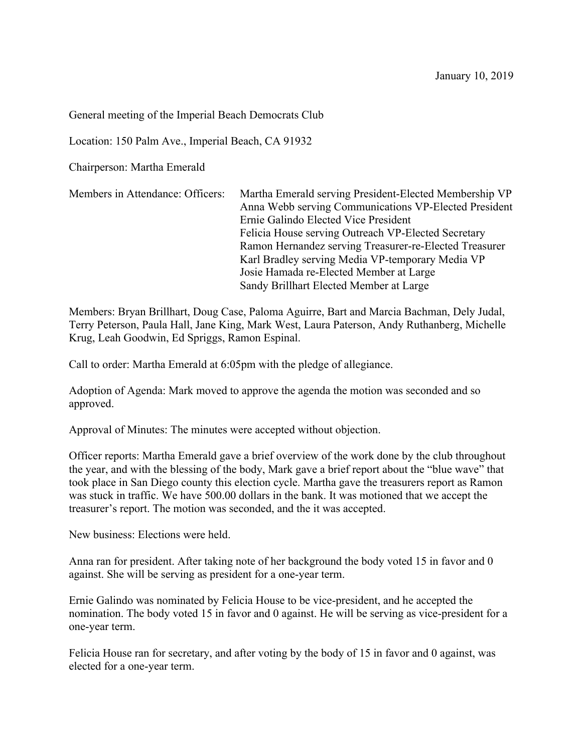General meeting of the Imperial Beach Democrats Club

Location: 150 Palm Ave., Imperial Beach, CA 91932

Chairperson: Martha Emerald

Members in Attendance: Officers: Martha Emerald serving President-Elected Membership VP Anna Webb serving Communications VP-Elected President Ernie Galindo Elected Vice President Felicia House serving Outreach VP-Elected Secretary Ramon Hernandez serving Treasurer-re-Elected Treasurer Karl Bradley serving Media VP-temporary Media VP Josie Hamada re-Elected Member at Large Sandy Brillhart Elected Member at Large

Members: Bryan Brillhart, Doug Case, Paloma Aguirre, Bart and Marcia Bachman, Dely Judal, Terry Peterson, Paula Hall, Jane King, Mark West, Laura Paterson, Andy Ruthanberg, Michelle Krug, Leah Goodwin, Ed Spriggs, Ramon Espinal.

Call to order: Martha Emerald at 6:05pm with the pledge of allegiance.

Adoption of Agenda: Mark moved to approve the agenda the motion was seconded and so approved.

Approval of Minutes: The minutes were accepted without objection.

Officer reports: Martha Emerald gave a brief overview of the work done by the club throughout the year, and with the blessing of the body, Mark gave a brief report about the "blue wave" that took place in San Diego county this election cycle. Martha gave the treasurers report as Ramon was stuck in traffic. We have 500.00 dollars in the bank. It was motioned that we accept the treasurer's report. The motion was seconded, and the it was accepted.

New business: Elections were held.

Anna ran for president. After taking note of her background the body voted 15 in favor and 0 against. She will be serving as president for a one-year term.

Ernie Galindo was nominated by Felicia House to be vice-president, and he accepted the nomination. The body voted 15 in favor and 0 against. He will be serving as vice-president for a one-year term.

Felicia House ran for secretary, and after voting by the body of 15 in favor and 0 against, was elected for a one-year term.